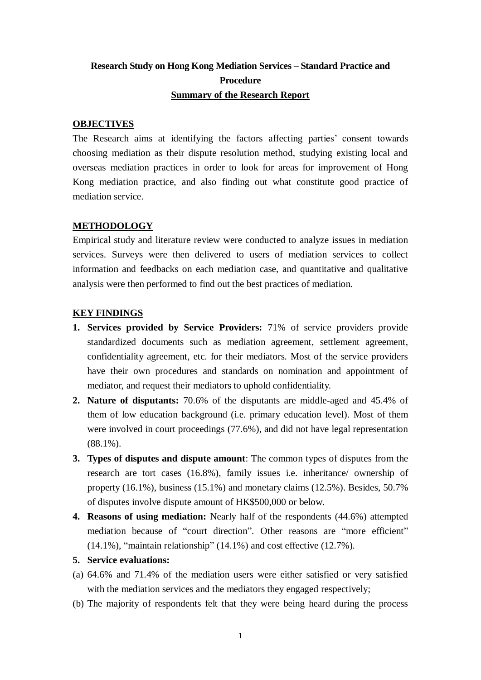# **Research Study on Hong Kong Mediation Services – Standard Practice and Procedure Summary of the Research Report**

### **OBJECTIVES**

The Research aims at identifying the factors affecting parties' consent towards choosing mediation as their dispute resolution method, studying existing local and overseas mediation practices in order to look for areas for improvement of Hong Kong mediation practice, and also finding out what constitute good practice of mediation service.

## **METHODOLOGY**

Empirical study and literature review were conducted to analyze issues in mediation services. Surveys were then delivered to users of mediation services to collect information and feedbacks on each mediation case, and quantitative and qualitative analysis were then performed to find out the best practices of mediation.

#### **KEY FINDINGS**

- **1. Services provided by Service Providers:** 71% of service providers provide standardized documents such as mediation agreement, settlement agreement, confidentiality agreement, etc. for their mediators. Most of the service providers have their own procedures and standards on nomination and appointment of mediator, and request their mediators to uphold confidentiality.
- **2. Nature of disputants:** 70.6% of the disputants are middle-aged and 45.4% of them of low education background (i.e. primary education level). Most of them were involved in court proceedings (77.6%), and did not have legal representation (88.1%).
- **3. Types of disputes and dispute amount**: The common types of disputes from the research are tort cases (16.8%), family issues i.e. inheritance/ ownership of property (16.1%), business (15.1%) and monetary claims (12.5%). Besides, 50.7% of disputes involve dispute amount of HK\$500,000 or below.
- **4. Reasons of using mediation:** Nearly half of the respondents (44.6%) attempted mediation because of "court direction". Other reasons are "more efficient" (14.1%), "maintain relationship" (14.1%) and cost effective (12.7%).
- **5. Service evaluations:**
- (a) 64.6% and 71.4% of the mediation users were either satisfied or very satisfied with the mediation services and the mediators they engaged respectively:
- (b) The majority of respondents felt that they were being heard during the process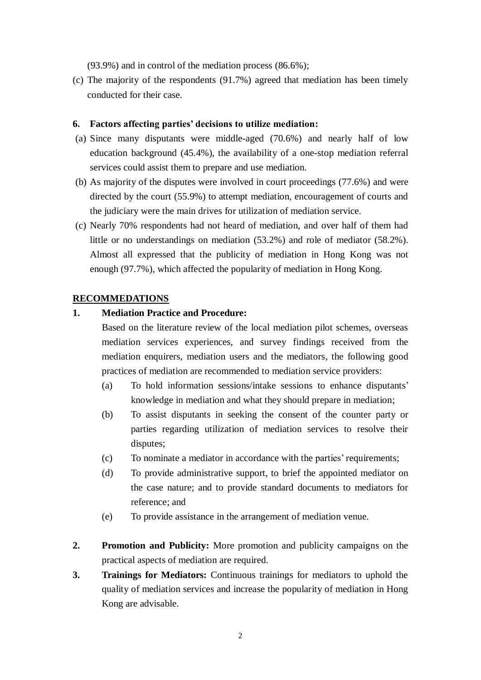(93.9%) and in control of the mediation process (86.6%);

(c) The majority of the respondents (91.7%) agreed that mediation has been timely conducted for their case.

## **6. Factors affecting parties' decisions to utilize mediation:**

- (a) Since many disputants were middle-aged (70.6%) and nearly half of low education background (45.4%), the availability of a one-stop mediation referral services could assist them to prepare and use mediation.
- (b) As majority of the disputes were involved in court proceedings (77.6%) and were directed by the court (55.9%) to attempt mediation, encouragement of courts and the judiciary were the main drives for utilization of mediation service.
- (c) Nearly 70% respondents had not heard of mediation, and over half of them had little or no understandings on mediation (53.2%) and role of mediator (58.2%). Almost all expressed that the publicity of mediation in Hong Kong was not enough (97.7%), which affected the popularity of mediation in Hong Kong.

# **RECOMMEDATIONS**

# **1. Mediation Practice and Procedure:**

Based on the literature review of the local mediation pilot schemes, overseas mediation services experiences, and survey findings received from the mediation enquirers, mediation users and the mediators, the following good practices of mediation are recommended to mediation service providers:

- (a) To hold information sessions/intake sessions to enhance disputants' knowledge in mediation and what they should prepare in mediation;
- (b) To assist disputants in seeking the consent of the counter party or parties regarding utilization of mediation services to resolve their disputes;
- (c) To nominate a mediator in accordance with the parties' requirements;
- (d) To provide administrative support, to brief the appointed mediator on the case nature; and to provide standard documents to mediators for reference; and
- (e) To provide assistance in the arrangement of mediation venue.
- **2. Promotion and Publicity:** More promotion and publicity campaigns on the practical aspects of mediation are required.
- **3. Trainings for Mediators:** Continuous trainings for mediators to uphold the quality of mediation services and increase the popularity of mediation in Hong Kong are advisable.